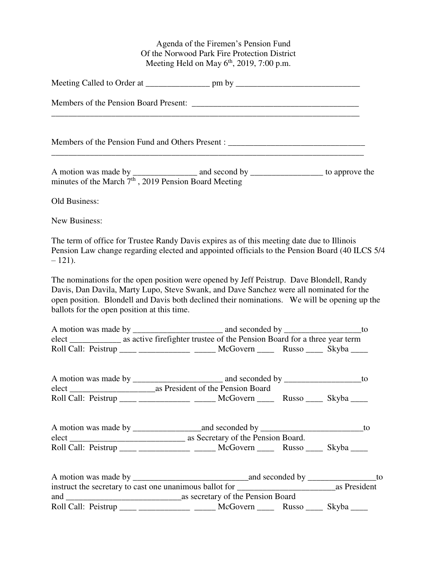Agenda of the Firemen's Pension Fund Of the Norwood Park Fire Protection District Meeting Held on May  $6<sup>th</sup>$ , 2019, 7:00 p.m.

|                                                                   | Members of the Pension Fund and Others Present : ________________________________<br>the control of the control of the control of the control of the control of the control of the control of the control of the control of the control of the control of the control of the control of the control of the control |                        |
|-------------------------------------------------------------------|--------------------------------------------------------------------------------------------------------------------------------------------------------------------------------------------------------------------------------------------------------------------------------------------------------------------|------------------------|
| minutes of the March 7 <sup>th</sup> , 2019 Pension Board Meeting |                                                                                                                                                                                                                                                                                                                    |                        |
| Old Business:                                                     |                                                                                                                                                                                                                                                                                                                    |                        |
| New Business:                                                     |                                                                                                                                                                                                                                                                                                                    |                        |
| $-121$ ).                                                         | The term of office for Trustee Randy Davis expires as of this meeting date due to Illinois<br>Pension Law change regarding elected and appointed officials to the Pension Board (40 ILCS 5/4                                                                                                                       |                        |
| ballots for the open position at this time.                       | The nominations for the open position were opened by Jeff Peistrup. Dave Blondell, Randy<br>Davis, Dan Davila, Marty Lupo, Steve Swank, and Dave Sanchez were all nominated for the<br>open position. Blondell and Davis both declined their nominations. We will be opening up the                                |                        |
|                                                                   |                                                                                                                                                                                                                                                                                                                    |                        |
|                                                                   | Roll Call: Peistrup ____ _____________ _____ McGovern _____ Russo ____ Skyba ____                                                                                                                                                                                                                                  |                        |
|                                                                   |                                                                                                                                                                                                                                                                                                                    | $\overline{\text{to}}$ |
|                                                                   | Roll Call: Peistrup ____ ____________ _____ McGovern ____ Russo ____ Skyba ____                                                                                                                                                                                                                                    |                        |
|                                                                   |                                                                                                                                                                                                                                                                                                                    |                        |
|                                                                   |                                                                                                                                                                                                                                                                                                                    |                        |
|                                                                   | Roll Call: Peistrup ____ ____________ _____ McGovern ____ Russo ____ Skyba ____                                                                                                                                                                                                                                    |                        |
|                                                                   |                                                                                                                                                                                                                                                                                                                    |                        |
|                                                                   |                                                                                                                                                                                                                                                                                                                    |                        |
|                                                                   | Roll Call: Peistrup ____ _____________ _____ McGovern _____ Russo ____ Skyba ____                                                                                                                                                                                                                                  |                        |